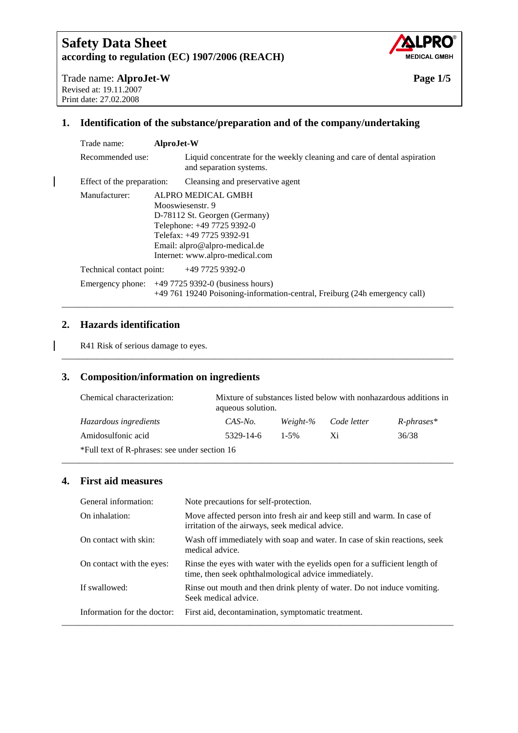

Trade name: **AlproJet-W Page 1/5**  Revised at: 19.11.2007 Print date: 27.02.2008

### **1. Identification of the substance/preparation and of the company/undertaking**

| Trade name:                | AlproJet-W                                                                                                                                                                                             |
|----------------------------|--------------------------------------------------------------------------------------------------------------------------------------------------------------------------------------------------------|
| Recommended use:           | Liquid concentrate for the weekly cleaning and care of dental aspiration<br>and separation systems.                                                                                                    |
| Effect of the preparation: | Cleansing and preservative agent                                                                                                                                                                       |
| Manufacturer:              | ALPRO MEDICAL GMBH<br>Mooswiesenstr. 9<br>D-78112 St. Georgen (Germany)<br>Telephone: +49 7725 9392-0<br>Telefax: +49 7725 9392-91<br>Email: alpro@alpro-medical.de<br>Internet: www.alpro-medical.com |
| Technical contact point:   | +49 7725 9392-0                                                                                                                                                                                        |
|                            | Emergency phone: +49 7725 9392-0 (business hours)<br>+49 761 19240 Poisoning-information-central, Freiburg (24h emergency call)                                                                        |

### **2. Hazards identification**

R41 Risk of serious damage to eyes.

### **3. Composition/information on ingredients**

| Chemical characterization:                    | aqueous solution. |           |             | Mixture of substances listed below with nonhazardous additions in |
|-----------------------------------------------|-------------------|-----------|-------------|-------------------------------------------------------------------|
| Hazardous ingredients                         | CAS-No.           | Weight-%  | Code letter | $R$ -phrases*                                                     |
| Amidosulfonic acid                            | 5329-14-6         | $1 - 5\%$ | Xi          | 36/38                                                             |
| *Full text of R-phrases: see under section 16 |                   |           |             |                                                                   |

\_\_\_\_\_\_\_\_\_\_\_\_\_\_\_\_\_\_\_\_\_\_\_\_\_\_\_\_\_\_\_\_\_\_\_\_\_\_\_\_\_\_\_\_\_\_\_\_\_\_\_\_\_\_\_\_\_\_\_\_\_\_\_\_\_\_\_\_\_\_\_\_\_\_\_\_\_\_\_\_\_\_\_\_\_\_\_\_\_\_

### **4. First aid measures**

| General information:        | Note precautions for self-protection.                                                                                              |
|-----------------------------|------------------------------------------------------------------------------------------------------------------------------------|
| On inhalation:              | Move affected person into fresh air and keep still and warm. In case of<br>irritation of the airways, seek medical advice.         |
| On contact with skin:       | Wash off immediately with soap and water. In case of skin reactions, seek<br>medical advice.                                       |
| On contact with the eyes:   | Rinse the eyes with water with the eyelids open for a sufficient length of<br>time, then seek ophthalmological advice immediately. |
| If swallowed:               | Rinse out mouth and then drink plenty of water. Do not induce vomiting.<br>Seek medical advice.                                    |
| Information for the doctor: | First aid, decontamination, symptomatic treatment.                                                                                 |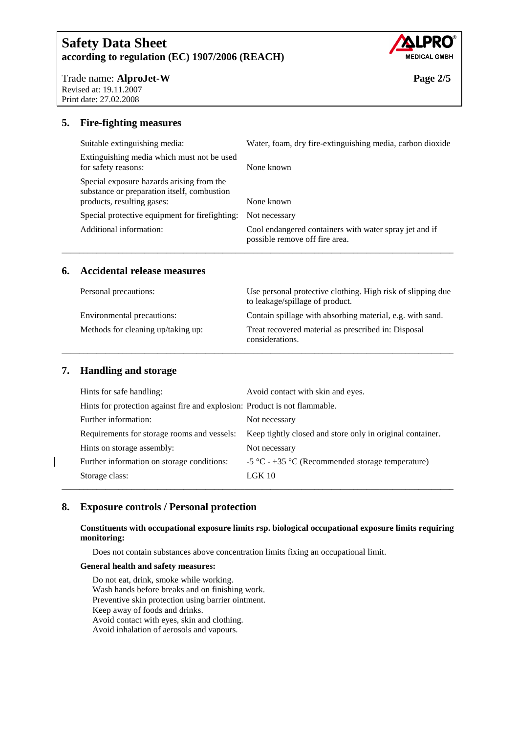

Trade name: **AlproJet-W Page 2/5**  Revised at: 19.11.2007 Print date: 27.02.2008

### **5. Fire-fighting measures**

| Suitable extinguishing media:                                                                                          | Water, foam, dry fire-extinguishing media, carbon dioxide                                |
|------------------------------------------------------------------------------------------------------------------------|------------------------------------------------------------------------------------------|
| Extinguishing media which must not be used<br>for safety reasons:                                                      | None known                                                                               |
| Special exposure hazards arising from the<br>substance or preparation itself, combustion<br>products, resulting gases: | None known                                                                               |
| Special protective equipment for firefighting:                                                                         | Not necessary                                                                            |
| Additional information:                                                                                                | Cool endangered containers with water spray jet and if<br>possible remove off fire area. |

\_\_\_\_\_\_\_\_\_\_\_\_\_\_\_\_\_\_\_\_\_\_\_\_\_\_\_\_\_\_\_\_\_\_\_\_\_\_\_\_\_\_\_\_\_\_\_\_\_\_\_\_\_\_\_\_\_\_\_\_\_\_\_\_\_\_\_\_\_\_\_\_\_\_\_\_\_\_\_\_\_\_\_\_\_\_\_\_\_\_

#### **6. Accidental release measures**

| Personal precautions:              | Use personal protective clothing. High risk of slipping due<br>to leakage/spillage of product. |  |
|------------------------------------|------------------------------------------------------------------------------------------------|--|
| Environmental precautions:         | Contain spillage with absorbing material, e.g. with sand.                                      |  |
| Methods for cleaning up/taking up: | Treat recovered material as prescribed in: Disposal<br>considerations.                         |  |

### **7. Handling and storage**

| Hints for safe handling:                                                   | Avoid contact with skin and eyes.                         |
|----------------------------------------------------------------------------|-----------------------------------------------------------|
| Hints for protection against fire and explosion: Product is not flammable. |                                                           |
| Further information:                                                       | Not necessary                                             |
| Requirements for storage rooms and vessels:                                | Keep tightly closed and store only in original container. |
| Hints on storage assembly:                                                 | Not necessary                                             |
| Further information on storage conditions:                                 | -5 °C - +35 °C (Recommended storage temperature)          |
| Storage class:                                                             | $LGK$ 10                                                  |
|                                                                            |                                                           |

### **8. Exposure controls / Personal protection**

#### **Constituents with occupational exposure limits rsp. biological occupational exposure limits requiring monitoring:**

Does not contain substances above concentration limits fixing an occupational limit.

#### **General health and safety measures:**

 Do not eat, drink, smoke while working. Wash hands before breaks and on finishing work. Preventive skin protection using barrier ointment. Keep away of foods and drinks. Avoid contact with eyes, skin and clothing. Avoid inhalation of aerosols and vapours.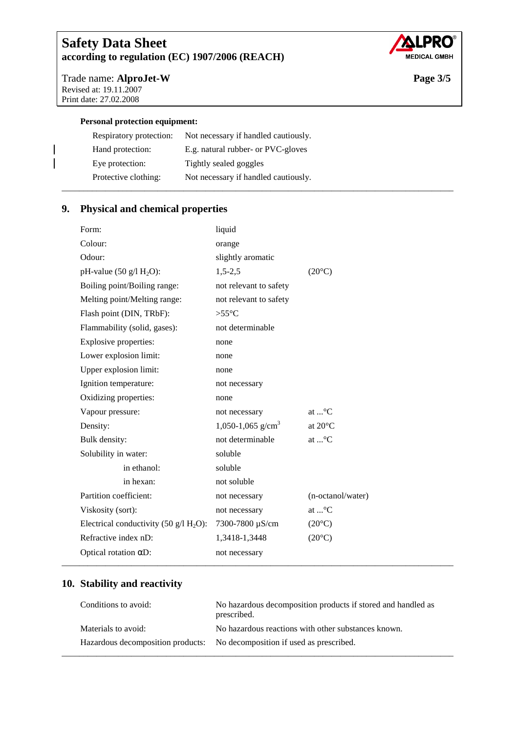

Trade name: **AlproJet-W Page 3/5**  Revised at: 19.11.2007 Print date: 27.02.2008

 $\overline{\phantom{a}}$  $\overline{\phantom{a}}$ 

#### **Personal protection equipment:**

| Respiratory protection: | Not necessary if handled cautiously. |
|-------------------------|--------------------------------------|
| Hand protection:        | E.g. natural rubber- or PVC-gloves   |
| Eye protection:         | Tightly sealed goggles               |
| Protective clothing:    | Not necessary if handled cautiously. |
|                         |                                      |

# **9. Physical and chemical properties**

| Form:                                                | liquid                        |                               |
|------------------------------------------------------|-------------------------------|-------------------------------|
| Colour:                                              | orange                        |                               |
| Odour:                                               | slightly aromatic             |                               |
| pH-value $(50 \text{ g}/1 \text{ H}_2\text{O})$ :    | $1,5-2,5$                     | $(20^{\circ}C)$               |
| Boiling point/Boiling range:                         | not relevant to safety        |                               |
| Melting point/Melting range:                         | not relevant to safety        |                               |
| Flash point (DIN, TRbF):                             | $>55^{\circ}C$                |                               |
| Flammability (solid, gases):                         | not determinable              |                               |
| Explosive properties:                                | none                          |                               |
| Lower explosion limit:                               | none                          |                               |
| Upper explosion limit:                               | none                          |                               |
| Ignition temperature:                                | not necessary                 |                               |
| Oxidizing properties:                                | none                          |                               |
| Vapour pressure:                                     | not necessary                 | at $\textsuperscript{\circ}C$ |
| Density:                                             | 1,050-1,065 g/cm <sup>3</sup> | at 20°C                       |
| Bulk density:                                        | not determinable              | at $\ldots$ °C                |
| Solubility in water:                                 | soluble                       |                               |
| in ethanol:                                          | soluble                       |                               |
| in hexan:                                            | not soluble                   |                               |
| Partition coefficient:                               | not necessary                 | (n-octanol/water)             |
| Viskosity (sort):                                    | not necessary                 | at $\mathbb{C}^{\circ}$ C     |
| Electrical conductivity (50 $g/I$ H <sub>2</sub> O): | 7300-7800 µS/cm               | $(20^{\circ}C)$               |
| Refractive index nD:                                 | 1,3418-1,3448                 | $(20^{\circ}C)$               |
| Optical rotation $\alpha$ D:                         | not necessary                 |                               |
|                                                      |                               |                               |

### **10. Stability and reactivity**

| Conditions to avoid: | No hazardous decomposition products if stored and handled as<br>prescribed. |
|----------------------|-----------------------------------------------------------------------------|
| Materials to avoid:  | No hazardous reactions with other substances known.                         |
|                      | Hazardous decomposition products: No decomposition if used as prescribed.   |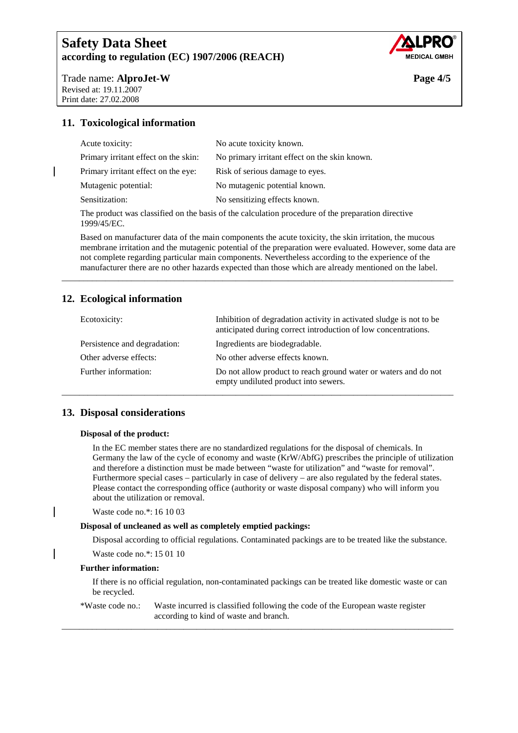

Trade name: **AlproJet-W Page 4/5** Revised at: 19.11.2007 Print date: 27.02.2008

### **11. Toxicological information**

| Acute toxicity:                      | No acute toxicity known.                      |
|--------------------------------------|-----------------------------------------------|
| Primary irritant effect on the skin: | No primary irritant effect on the skin known. |
| Primary irritant effect on the eye:  | Risk of serious damage to eyes.               |
| Mutagenic potential:                 | No mutagenic potential known.                 |
| Sensitization:                       | No sensitizing effects known.                 |
|                                      |                                               |

The product was classified on the basis of the calculation procedure of the preparation directive 1999/45/EC.

Based on manufacturer data of the main components the acute toxicity, the skin irritation, the mucous membrane irritation and the mutagenic potential of the preparation were evaluated. However, some data are not complete regarding particular main components. Nevertheless according to the experience of the manufacturer there are no other hazards expected than those which are already mentioned on the label.

\_\_\_\_\_\_\_\_\_\_\_\_\_\_\_\_\_\_\_\_\_\_\_\_\_\_\_\_\_\_\_\_\_\_\_\_\_\_\_\_\_\_\_\_\_\_\_\_\_\_\_\_\_\_\_\_\_\_\_\_\_\_\_\_\_\_\_\_\_\_\_\_\_\_\_\_\_\_\_\_\_\_\_\_\_\_\_\_\_\_

### **12. Ecological information**

| Ecotoxicity:                 | Inhibition of degradation activity in activated sludge is not to be<br>anticipated during correct introduction of low concentrations. |
|------------------------------|---------------------------------------------------------------------------------------------------------------------------------------|
| Persistence and degradation: | Ingredients are biodegradable.                                                                                                        |
| Other adverse effects:       | No other adverse effects known.                                                                                                       |
| Further information:         | Do not allow product to reach ground water or waters and do not<br>empty undiluted product into sewers.                               |

### **13. Disposal considerations**

#### **Disposal of the product:**

In the EC member states there are no standardized regulations for the disposal of chemicals. In Germany the law of the cycle of economy and waste (KrW/AbfG) prescribes the principle of utilization and therefore a distinction must be made between "waste for utilization" and "waste for removal". Furthermore special cases – particularly in case of delivery – are also regulated by the federal states. Please contact the corresponding office (authority or waste disposal company) who will inform you about the utilization or removal.

#### Waste code no.\*: 16 10 03

#### **Disposal of uncleaned as well as completely emptied packings:**

Disposal according to official regulations. Contaminated packings are to be treated like the substance.

Waste code no.\*: 15 01 10

#### **Further information:**

If there is no official regulation, non-contaminated packings can be treated like domestic waste or can be recycled.

#### \*Waste code no.: Waste incurred is classified following the code of the European waste register according to kind of waste and branch.

\_\_\_\_\_\_\_\_\_\_\_\_\_\_\_\_\_\_\_\_\_\_\_\_\_\_\_\_\_\_\_\_\_\_\_\_\_\_\_\_\_\_\_\_\_\_\_\_\_\_\_\_\_\_\_\_\_\_\_\_\_\_\_\_\_\_\_\_\_\_\_\_\_\_\_\_\_\_\_\_\_\_\_\_\_\_\_\_\_\_